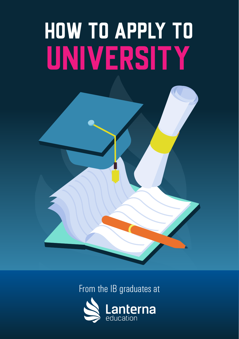# HOW TO APPLY TO UNIVERSITY



From the IB graduates at

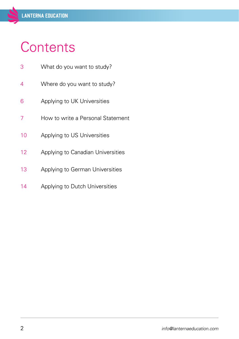# <span id="page-1-0"></span>**Contents**

| 3 | What do you want to study? |  |
|---|----------------------------|--|
|   |                            |  |

- [Where do you want to study?](#page-3-0)
- [Applying to UK Universities](#page-5-0)
- [How to write a Personal Statement](#page-6-0)
- [Applying to US Universities](#page-9-0)
- [Applying to Canadian Universities](#page-11-0)
- [Applying to German Universities](#page-12-0)
- [Applying to Dutch Universities](#page-13-0)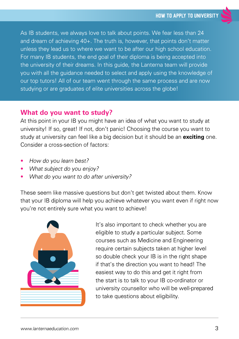<span id="page-2-0"></span>As IB students, we always love to talk about points. We fear less than 24 and dream of achieving 40+. The truth is, however, that points don't matter unless they lead us to where we want to be after our high school education. For many IB students, the end goal of their diploma is being accepted into the university of their dreams. In this guide, the Lanterna team will provide you with all the guidance needed to select and apply using the knowledge of our top tutors! All of our team went through the same process and are now studying or are graduates of elite universities across the globe!

#### **What do you want to study?**

At this point in your IB you might have an idea of what you want to study at university! If so, great! If not, don't panic! Choosing the course you want to study at university can feel like a big decision but it should be an **exciting** one. Consider a cross-section of factors:

- How do you learn best?
- What subject do you enjoy?
- What do you want to do after university?

These seem like massive questions but don't get twisted about them. Know that your IB diploma will help you achieve whatever you want even if right now you're not entirely sure what you want to achieve!



It's also important to check whether you are eligible to study a particular subject. Some courses such as Medicine and Engineering require certain subjects taken at higher level so double check your IB is in the right shape if that's the direction you want to head! The easiest way to do this and get it right from the start is to talk to your IB co-ordinator or university counsellor who will be well-prepared to take questions about eligibility.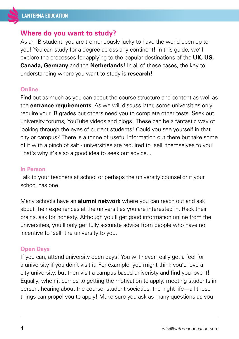#### <span id="page-3-0"></span>**Where do you want to study?**

As an IB student, you are tremendously lucky to have the world open up to you! You can study for a degree across any continent! In this guide, we'll explore the processes for applying to the popular destinations of the **UK, US, Canada, Germany** and the **Netherlands!** In all of these cases, the key to understanding where you want to study is **research!**

#### **Online**

Find out as much as you can about the course structure and content as well as the **entrance requirements**. As we will discuss later, some universities only require your IB grades but others need you to complete other tests. Seek out university forums, YouTube videos and blogs! These can be a fantastic way of looking through the eyes of current students! Could you see yourself in that city or campus? There is a tonne of useful information out there but take some of it with a pinch of salt - universities are required to 'sell' themselves to you! That's why it's also a good idea to seek out advice...

#### **In Person**

Talk to your teachers at school or perhaps the university counsellor if your school has one.

Many schools have an **alumni network** where you can reach out and ask about their experiences at the universities you are interested in. Rack their brains, ask for honesty. Although you'll get good information online from the universities, you'll only get fully accurate advice from people who have no incentive to 'sell' the university to you.

#### **Open Days**

If you can, attend university open days! You will never really get a feel for a university if you don't visit it. For example, you might think you'd love a city university, but then visit a campus-based univeristy and find you love it! Equally, when it comes to getting the motivation to apply, meeting students in person, hearing about the course, student societies, the night life—all these things can propel you to apply! Make sure you ask as many questions as you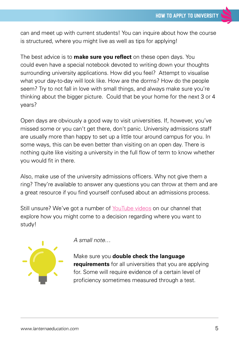can and meet up with current students! You can inquire about how the course is structured, where you might live as well as tips for applying!

The best advice is to **make sure you reflect** on these open days. You could even have a special notebook devoted to writing down your thoughts surrounding university applications. How did you feel? Attempt to visualise what your day-to-day will look like. How are the dorms? How do the people seem? Try to not fall in love with small things, and always make sure you're thinking about the bigger picture. Could that be your home for the next 3 or 4 years?

Open days are obviously a good way to visit universities. If, however, you've missed some or you can't get there, don't panic. University admissions staff are usually more than happy to set up a little tour around campus for you. In some ways, this can be even better than visiting on an open day. There is nothing quite like visiting a university in the full flow of term to know whether you would fit in there.

Also, make use of the university admissions officers. Why not give them a ring? They're available to answer any questions you can throw at them and are a great resource if you find yourself confused about an admissions process.

Still unsure? We've got a number of [YouTube videos](https://www.youtube.com/watch?v=2Ys6XWHASXQ&feature=emb_title) on our channel that explore how you might come to a decision regarding where you want to study!



A small note…

Make sure you **double check the language requirements** for all universities that you are applying for. Some will require evidence of a certain level of proficiency sometimes measured through a test.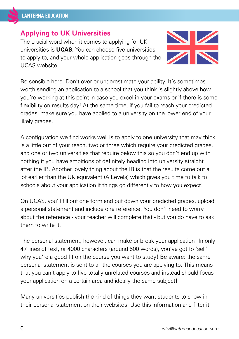# <span id="page-5-0"></span>**Applying to UK Universities**

The crucial word when it comes to applying for UK universities is **UCAS.** You can choose five universities to apply to, and your whole application goes through the UCAS website.



Be sensible here. Don't over or underestimate your ability. It's sometimes worth sending an application to a school that you think is slightly above how you're working at this point in case you excel in your exams or if there is some flexibility on results day! At the same time, if you fail to reach your predicted grades, make sure you have applied to a university on the lower end of your likely grades.

A configuration we find works well is to apply to one university that may think is a little out of your reach, two or three which require your predicted grades, and one or two universities that require below this so you don't end up with nothing if you have ambitions of definitely heading into university straight after the IB. Another lovely thing about the IB is that the results come out a lot earlier than the UK equivalent (A Levels) which gives you time to talk to schools about your application if things go differently to how you expect!

On UCAS, you'll fill out one form and put down your predicted grades, upload a personal statement and include one reference. You don't need to worry about the reference - your teacher will complete that - but you do have to ask them to write it.

The personal statement, however, can make or break your application! In only 47 lines of text, or 4000 characters (around 500 words), you've got to 'sell' why you're a good fit on the course you want to study! Be aware: the same personal statement is sent to all the courses you are applying to. This means that you can't apply to five totally unrelated courses and instead should focus your application on a certain area and ideally the same subject!

Many universities publish the kind of things they want students to show in their personal statement on their websites. Use this information and filter it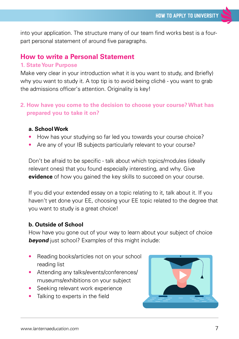<span id="page-6-0"></span>into your application. The structure many of our team find works best is a fourpart personal statement of around five paragraphs.

# **How to write a Personal Statement**

#### **1. State Your Purpose**

Make very clear in your introduction what it is you want to study, and (briefly) why you want to study it. A top tip is to avoid being cliché - you want to grab the admissions officer's attention. Originality is key!

#### **2. How have you come to the decision to choose your course? What has prepared you to take it on?**

#### **a. School Work**

- How has your studying so far led you towards your course choice?
- Are any of your IB subjects particularly relevant to your course?

Don't be afraid to be specific - talk about which topics/modules (ideally relevant ones) that you found especially interesting, and why. Give **evidence** of how you gained the key skills to succeed on your course.

If you did your extended essay on a topic relating to it, talk about it. If you haven't yet done your EE, choosing your EE topic related to the degree that you want to study is a great choice!

#### **b. Outside of School**

How have you gone out of your way to learn about your subject of choice **beyond** just school? Examples of this might include:

- Reading books/articles not on your school reading list
- Attending any talks/events/conferences/ museums/exhibitions on your subject
- Seeking relevant work experience
- Talking to experts in the field

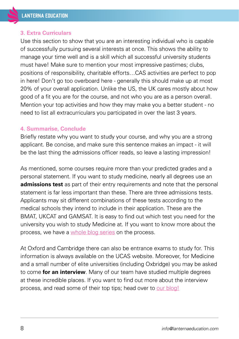#### **3. Extra Curriculars**

Use this section to show that you are an interesting individual who is capable of successfully pursuing several interests at once. This shows the ability to manage your time well and is a skill which all successful university students must have! Make sure to mention your most impressive pastimes; clubs, positions of responsibility, charitable efforts…CAS activities are perfect to pop in here! Don't go too overboard here - generally this should make up at most 20% of your overall application. Unlike the US, the UK cares mostly about how good of a fit you are for the course, and not who you are as a person overall. Mention your top activities and how they may make you a better student - no need to list all extracurriculars you participated in over the last 3 years.

#### **4. Summarise, Conclude**

Briefly restate why you want to study your course, and why you are a strong applicant. Be concise, and make sure this sentence makes an impact - it will be the last thing the admissions officer reads, so leave a lasting impression!

As mentioned, some courses require more than your predicted grades and a personal statement. If you want to study medicine, nearly all degrees use an **admissions test** as part of their entry requirements and note that the personal statement is far less important than these. There are three admissions tests. Applicants may sit different combinations of these tests according to the medical schools they intend to include in their application. These are the BMAT, UKCAT and GAMSAT. It is easy to find out which test you need for the university you wish to study Medicine at. If you want to know more about the process, we have a [whole blog series](https://www.lanternaeducation.com/ib-blog/uk-medical-school-applications-interviews) on the process.

At Oxford and Cambridge there can also be entrance exams to study for. This information is always available on the UCAS website. Moreover, for Medicine and a small number of elite universities (including Oxbridge) you may be asked to come **for an interview**. Many of our team have studied multiple degrees at these incredible places. If you want to find out more about the interview process, and read some of their top tips; head over to [our blog!](https://www.lanternaeducation.com/oxbridge-interview-tips)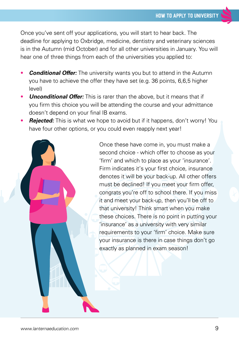Once you've sent off your applications, you will start to hear back. The deadline for applying to Oxbridge, medicine, dentistry and veterinary sciences is in the Autumn (mid October) and for all other universities in January. You will hear one of three things from each of the universities you applied to:

- **Conditional Offer:** The university wants you but to attend in the Autumn you have to achieve the offer they have set (e.g. 36 points, 6,6,5 higher level)
- **Unconditional Offer:** This is rarer than the above, but it means that if you firm this choice you will be attending the course and your admittance doesn't depend on your final IB exams.
- **Rejected:** This is what we hope to avoid but if it happens, don't worry! You have four other options, or you could even reapply next year!

Once these have come in, you must make a second choice - which offer to choose as your 'firm' and which to place as your 'insurance'. Firm indicates it's your first choice, insurance denotes it will be your back-up. All other offers must be declined! If you meet your firm offer, congrats you're off to school there. If you miss it and meet your back-up, then you'll be off to that university! Think smart when you make these choices. There is no point in putting your 'insurance' as a university with very similar requirements to your 'firm' choice. Make sure your insurance is there in case things don't go exactly as planned in exam season!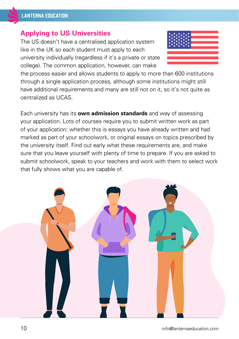# <span id="page-9-0"></span>**Applying to US Universities**

The US doesn't have a centralised application system like in the UK so each student must apply to each university individually (regardless if it's a private or state college). The common application, however, can make



the process easier and allows students to apply to more than 600 institutions through a single application process, although some institutions might still have additional requirements and many are still not on it, so it's not quite as centralized as UCAS.

Each university has its **own admission standards** and way of assessing your application. Lots of courses require you to submit written work as part of your application: whether this is essays you have already written and had marked as part of your schoolwork, or original essays on topics prescribed by the university itself. Find out early what these requirements are, and make sure that you leave yourself with plenty of time to prepare. If you are asked to submit schoolwork, speak to your teachers and work with them to select work that fully shows what you are capable of.

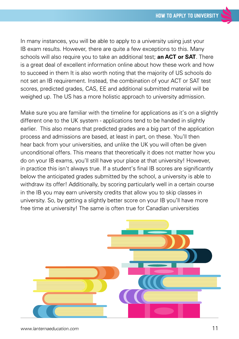In many instances, you will be able to apply to a university using just your IB exam results. However, there are quite a few exceptions to this. Many schools will also require you to take an additional test; **an ACT or SAT**. There is a great deal of excellent information online about how these work and how to succeed in them It is also worth noting that the majority of US schools do not set an IB requirement. Instead, the combination of your ACT or SAT test scores, predicted grades, CAS, EE and additional submitted material will be weighed up. The US has a more holistic approach to university admission.

Make sure you are familiar with the timeline for applications as it's on a slightly different one to the UK system - applications tend to be handed in slightly earlier. This also means that predicted grades are a big part of the application process and admissions are based, at least in part, on these. You'll then hear back from your universities, and unlike the UK you will often be given unconditional offers. This means that theoretically it does not matter how you do on your IB exams, you'll still have your place at that university! However, in practice this isn't always true. If a student's final IB scores are significantly below the anticipated grades submitted by the school, a university is able to withdraw its offer! Additionally, by scoring particularly well in a certain course in the IB you may earn university credits that allow you to skip classes in university. So, by getting a slightly better score on your IB you'll have more free time at university! The same is often true for Canadian universities

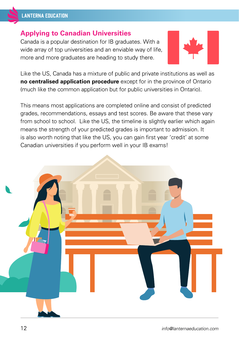## <span id="page-11-0"></span>**Applying to Canadian Universities**

Canada is a popular destination for IB graduates. With a wide array of top universities and an enviable way of life, more and more graduates are heading to study there.



Like the US, Canada has a mixture of public and private institutions as well as **no centralised application procedure** except for in the province of Ontario (much like the common application but for public universities in Ontario).

This means most applications are completed online and consist of predicted grades, recommendations, essays and test scores. Be aware that these vary from school to school. Like the US, the timeline is slightly earlier which again means the strength of your predicted grades is important to admission. It is also worth noting that like the US, you can gain first year 'credit' at some Canadian universities if you perform well in your IB exams!

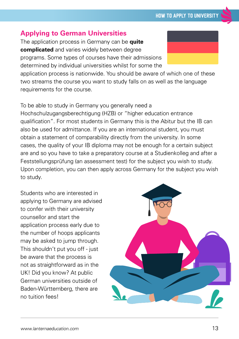# <span id="page-12-0"></span>**Applying to German Universities**

The application process in Germany can be **quite complicated** and varies widely between degree programs. Some types of courses have their admissions determined by individual universities whilst for some the

application process is nationwide. You should be aware of which one of these two streams the course you want to study falls on as well as the language requirements for the course.

To be able to study in Germany you generally need a Hochschulzugangsberechtigung (HZB) or "higher education entrance qualification". For most students in Germany this is the Abitur but the IB can also be used for admittance. If you are an international student, you must obtain a statement of comparability directly from the university. In some cases, the quality of your IB diploma may not be enough for a certain subject are and so you have to take a preparatory course at a Studienkolleg and after a Feststellungsprüfung (an assessment test) for the subject you wish to study. Upon completion, you can then apply across Germany for the subject you wish to study.

Students who are interested in applying to Germany are advised to confer with their university counsellor and start the application process early due to the number of hoops applicants may be asked to jump through. This shouldn't put you off - just be aware that the process is not as straightforward as in the UK! Did you know? At public German universities outside of Baden-Württemberg, there are no tuition fees!





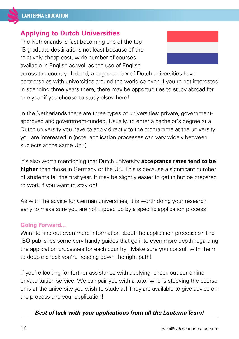### <span id="page-13-0"></span>**Applying to Dutch Universities**

The Netherlands is fast becoming one of the top IB graduate destinations not least because of the relatively cheap cost, wide number of courses available in English as well as the use of English



across the country! Indeed, a large number of Dutch universities have partnerships with universities around the world so even if you're not interested in spending three years there, there may be opportunities to study abroad for one year if you choose to study elsewhere!

In the Netherlands there are three types of universities: private, governmentapproved and government-funded. Usually, to enter a bachelor's degree at a Dutch university you have to apply directly to the programme at the university you are interested in (note: application processes can vary widely between subjects at the same Uni!)

It's also worth mentioning that Dutch university **acceptance rates tend to be higher** than those in Germany or the UK. This is because a significant number of students fail the first year. It may be slightly easier to get in,but be prepared to work if you want to stay on!

As with the advice for German universities, it is worth doing your research early to make sure you are not tripped up by a specific application process!

#### **Going Forward...**

Want to find out even more information about the application processes? The IBO publishes some very handy guides that go into even more depth regarding the application processes for each country. Make sure you consult with them to double check you're heading down the right path!

If you're looking for further assistance with applying, check out our online private tuition service. We can pair you with a tutor who is studying the course or is at the university you wish to study at! They are available to give advice on the process and your application!

#### **Best of luck with your applications from all the Lanterna Team!**